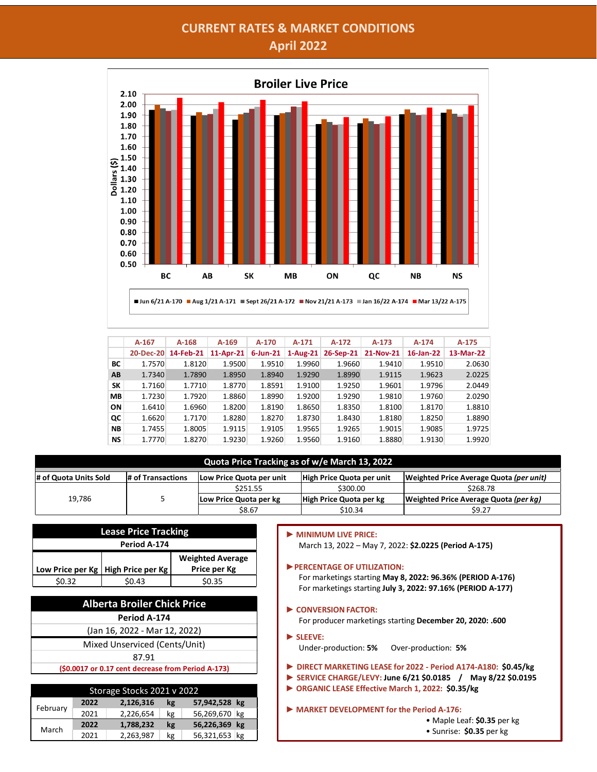## **CURRENT RATES & MARKET CONDITIONS April 2022**



|           | $A-167$ | $A-168$             | $A-169$      | A-170    | $A-171$    | $A-172$   | $A-173$   | $A-174$   | $A-175$   |
|-----------|---------|---------------------|--------------|----------|------------|-----------|-----------|-----------|-----------|
|           |         | 20-Dec-20 14-Feb-21 | $11$ -Apr-21 | 6-Jun-21 | $1-Aug-21$ | 26-Sep-21 | 21-Nov-21 | 16-Jan-22 | 13-Mar-22 |
| BС        | 1.7570  | 1.8120              | 1.9500       | 1.9510   | 1.9960     | 1.9660    | 1.9410    | 1.9510    | 2.0630    |
| AB        | 1.7340  | 1.7890              | 1.8950       | 1.8940   | 1.9290     | 1.8990    | 1.9115    | 1.9623    | 2.0225    |
| SΚ        | 1.7160  | 1.7710              | 1.8770       | 1.8591   | 1.9100     | 1.9250    | 1.9601    | 1.9796    | 2.0449    |
| <b>MB</b> | 1.7230  | 1.7920              | 1.8860       | 1.8990   | 1.9200     | 1.9290    | 1.9810    | 1.9760    | 2.0290    |
| ON        | 1.6410  | 1.6960              | 1.8200       | 1.8190   | 1.8650     | 1.8350    | 1.8100    | 1.8170    | 1.8810    |
| QC        | 1.6620  | 1.7170              | 1.8280       | 1.8270   | 1.8730     | 1.8430    | 1.8180    | 1.8250    | 1.8890    |
| <b>NB</b> | 1.7455  | 1.8005              | 1.9115       | 1.9105   | 1.9565     | 1.9265    | 1.9015    | 1.9085    | 1.9725    |
| <b>NS</b> | 1.7770  | 1.8270              | 1.9230       | 1.9260   | 1.9560     | 1.9160    | 1.8880    | 1.9130    | 1.9920    |

## **Quota Price Tracking as of w/e March 13, 2022**

| # of Quota Units Sold<br># of Transactions |  | Low Price Quota per unit | High Price Quota per unit | Weighted Price Average Quota (per unit) |  |
|--------------------------------------------|--|--------------------------|---------------------------|-----------------------------------------|--|
|                                            |  | \$251.55                 | \$300.00                  | \$268.78                                |  |
| 19,786                                     |  | Low Price Quota per kg   | High Price Quota per kg   | Weighted Price Average Quota (per kg)   |  |
|                                            |  | \$8.67                   | \$10.34                   | \$9.27                                  |  |

► **MINIMUM LIVE PRICE:**

| <b>Lease Price Tracking</b> |                                                        |  |  |  |  |  |  |  |  |
|-----------------------------|--------------------------------------------------------|--|--|--|--|--|--|--|--|
| Period A-174                |                                                        |  |  |  |  |  |  |  |  |
|                             | <b>Weighted Average</b>                                |  |  |  |  |  |  |  |  |
|                             | Low Price per Kg   High Price per Kg  <br>Price per Kg |  |  |  |  |  |  |  |  |
| \$0.32<br>\$0.35<br>\$0.43  |                                                        |  |  |  |  |  |  |  |  |

| <b>Alberta Broiler Chick Price</b>                 |
|----------------------------------------------------|
| Period A-174                                       |
| (Jan 16, 2022 - Mar 12, 2022)                      |
| Mixed Unserviced (Cents/Unit)                      |
| 87.91                                              |
| (\$0.0017 or 0.17 cent decrease from Period A-173) |
|                                                    |

| Storage Stocks 2021 v 2022 |      |           |    |               |  |  |  |  |  |
|----------------------------|------|-----------|----|---------------|--|--|--|--|--|
|                            | 2022 | 2,126,316 | kg | 57,942,528 kg |  |  |  |  |  |
| February                   | 2021 | 2,226,654 | kg | 56,269,670 kg |  |  |  |  |  |
| March                      | 2022 | 1,788,232 | kg | 56,226,369 kg |  |  |  |  |  |
|                            | 2021 | 2,263,987 | kg | 56,321,653 kg |  |  |  |  |  |

## March 13, 2022 – May 7, 2022: **\$2.0225 (Period A-175)** ►**PERCENTAGE OF UTILIZATION:** For marketings starting **May 8, 2022: 96.36% (PERIOD A-176)**

- For marketings starting **July 3, 2022: 97.16% (PERIOD A-177)**
- ► **CONVERSIONFACTOR:** For producer marketings starting **December 20, 2020: .600**
- ► **SLEEVE:** Under-production: **5%** Over-production: **5%**
- ► **DIRECT MARKETING LEASE for 2022 - Period A174-A180: \$0.45/kg**
- ► **SERVICE CHARGE/LEVY: June 6/21 \$0.0185 / May 8/22 \$0.0195**
- ► **ORGANIC LEASE Effective March 1, 2022: \$0.35/kg**
- ► **MARKET DEVELOPMENT for the Period A-176:**

• Maple Leaf: **\$0.35** per kg

• Sunrise: **\$0.35** per kg